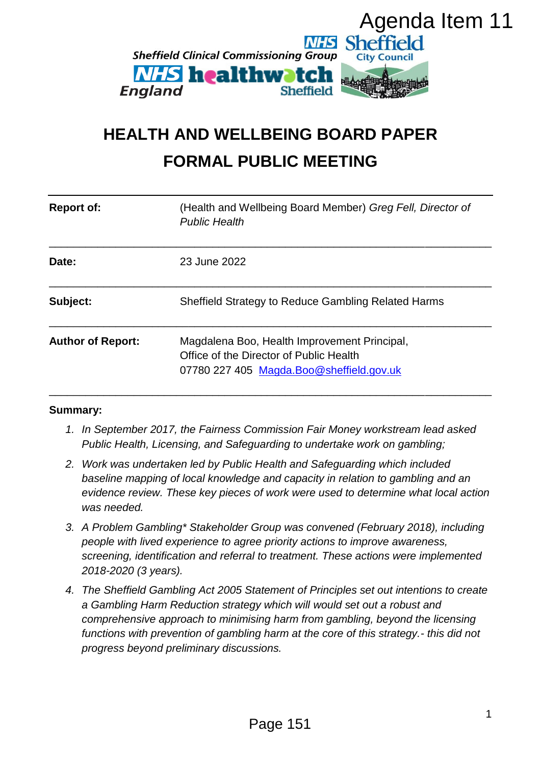

# **HEALTH AND WELLBEING BOARD PAPER FORMAL PUBLIC MEETING**

| Agenda Item 11<br><b>NHS Sheffield</b><br><b>Sheffield Clinical Commissioning Group</b><br><b>City Council</b><br><b><i>NHS</i></b> healthwatch<br>England<br><b>Sheffield</b><br><b>HEALTH AND WELLBEING BOARD PAPER</b><br><b>FORMAL PUBLIC MEETING</b> |                                                                                                                                                                                                                                                                                 |                                                                                                                                                                                                                                                                                                                                                                                         |   |
|-----------------------------------------------------------------------------------------------------------------------------------------------------------------------------------------------------------------------------------------------------------|---------------------------------------------------------------------------------------------------------------------------------------------------------------------------------------------------------------------------------------------------------------------------------|-----------------------------------------------------------------------------------------------------------------------------------------------------------------------------------------------------------------------------------------------------------------------------------------------------------------------------------------------------------------------------------------|---|
| <b>Report of:</b>                                                                                                                                                                                                                                         |                                                                                                                                                                                                                                                                                 | (Health and Wellbeing Board Member) Greg Fell, Director of<br><b>Public Health</b>                                                                                                                                                                                                                                                                                                      |   |
| Date:                                                                                                                                                                                                                                                     |                                                                                                                                                                                                                                                                                 | 23 June 2022                                                                                                                                                                                                                                                                                                                                                                            |   |
| Subject:                                                                                                                                                                                                                                                  |                                                                                                                                                                                                                                                                                 | Sheffield Strategy to Reduce Gambling Related Harms                                                                                                                                                                                                                                                                                                                                     |   |
| <b>Author of Report:</b>                                                                                                                                                                                                                                  |                                                                                                                                                                                                                                                                                 | Magdalena Boo, Health Improvement Principal,<br>Office of the Director of Public Health<br>07780 227 405 Magda.Boo@sheffield.gov.uk                                                                                                                                                                                                                                                     |   |
| <b>Summary:</b>                                                                                                                                                                                                                                           |                                                                                                                                                                                                                                                                                 |                                                                                                                                                                                                                                                                                                                                                                                         |   |
|                                                                                                                                                                                                                                                           |                                                                                                                                                                                                                                                                                 | 1. In September 2017, the Fairness Commission Fair Money workstream lead asked<br>Public Health, Licensing, and Safeguarding to undertake work on gambling;                                                                                                                                                                                                                             |   |
|                                                                                                                                                                                                                                                           | 2. Work was undertaken led by Public Health and Safeguarding which included<br>baseline mapping of local knowledge and capacity in relation to gambling and an<br>evidence review. These key pieces of work were used to determine what local action<br>was needed.             |                                                                                                                                                                                                                                                                                                                                                                                         |   |
|                                                                                                                                                                                                                                                           | 3. A Problem Gambling* Stakeholder Group was convened (February 2018), including<br>people with lived experience to agree priority actions to improve awareness,<br>screening, identification and referral to treatment. These actions were implemented<br>2018-2020 (3 years). |                                                                                                                                                                                                                                                                                                                                                                                         |   |
| 4.                                                                                                                                                                                                                                                        |                                                                                                                                                                                                                                                                                 | The Sheffield Gambling Act 2005 Statement of Principles set out intentions to create<br>a Gambling Harm Reduction strategy which will would set out a robust and<br>comprehensive approach to minimising harm from gambling, beyond the licensing<br>functions with prevention of gambling harm at the core of this strategy.- this did not<br>progress beyond preliminary discussions. |   |
|                                                                                                                                                                                                                                                           |                                                                                                                                                                                                                                                                                 |                                                                                                                                                                                                                                                                                                                                                                                         | 1 |
|                                                                                                                                                                                                                                                           |                                                                                                                                                                                                                                                                                 | Page 151                                                                                                                                                                                                                                                                                                                                                                                |   |

#### **Summary:**

- *1. In September 2017, the Fairness Commission Fair Money workstream lead asked Public Health, Licensing, and Safeguarding to undertake work on gambling;*
- *2. Work was undertaken led by Public Health and Safeguarding which included baseline mapping of local knowledge and capacity in relation to gambling and an evidence review. These key pieces of work were used to determine what local action was needed.*
- *3. A Problem Gambling\* Stakeholder Group was convened (February 2018), including people with lived experience to agree priority actions to improve awareness, screening, identification and referral to treatment. These actions were implemented 2018-2020 (3 years).*
- *4. The Sheffield Gambling Act 2005 Statement of Principles set out intentions to create a Gambling Harm Reduction strategy which will would set out a robust and comprehensive approach to minimising harm from gambling, beyond the licensing functions with prevention of gambling harm at the core of this strategy.- this did not progress beyond preliminary discussions.*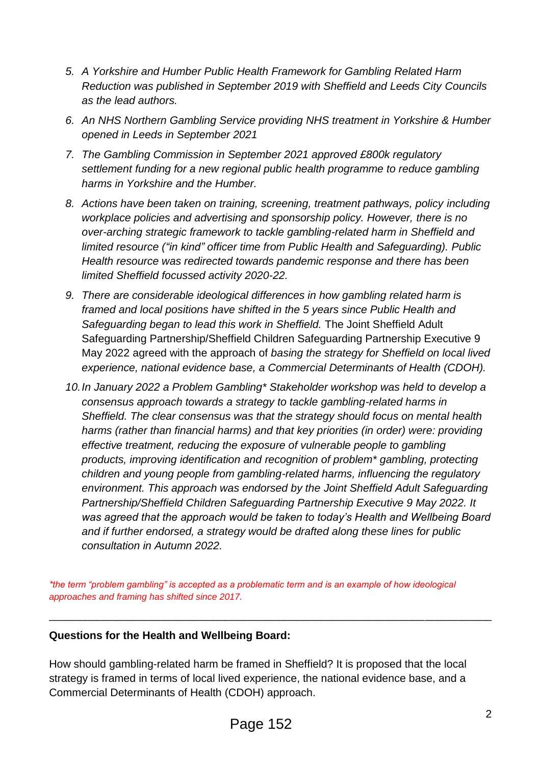- *5. A Yorkshire and Humber Public Health Framework for Gambling Related Harm Reduction was published in September 2019 with Sheffield and Leeds City Councils as the lead authors.*
- *6. An NHS Northern Gambling Service providing NHS treatment in Yorkshire & Humber opened in Leeds in September 2021*
- *7. The Gambling Commission in September 2021 approved £800k regulatory settlement funding for a new regional public health programme to reduce gambling harms in Yorkshire and the Humber.*
- *8. Actions have been taken on training, screening, treatment pathways, policy including workplace policies and advertising and sponsorship policy. However, there is no over-arching strategic framework to tackle gambling-related harm in Sheffield and limited resource ("in kind" officer time from Public Health and Safeguarding). Public Health resource was redirected towards pandemic response and there has been limited Sheffield focussed activity 2020-22.*
- *9. There are considerable ideological differences in how gambling related harm is framed and local positions have shifted in the 5 years since Public Health and Safeguarding began to lead this work in Sheffield.* The Joint Sheffield Adult Safeguarding Partnership/Sheffield Children Safeguarding Partnership Executive 9 May 2022 agreed with the approach of *basing the strategy for Sheffield on local lived experience, national evidence base, a Commercial Determinants of Health (CDOH).*
- *10.In January 2022 a Problem Gambling\* Stakeholder workshop was held to develop a consensus approach towards a strategy to tackle gambling-related harms in Sheffield. The clear consensus was that the strategy should focus on mental health harms (rather than financial harms) and that key priorities (in order) were: providing effective treatment, reducing the exposure of vulnerable people to gambling products, improving identification and recognition of problem\* gambling, protecting children and young people from gambling-related harms, influencing the regulatory environment. This approach was endorsed by the Joint Sheffield Adult Safeguarding Partnership/Sheffield Children Safeguarding Partnership Executive 9 May 2022. It was agreed that the approach would be taken to today's Health and Wellbeing Board and if further endorsed, a strategy would be drafted along these lines for public consultation in Autumn 2022.*

*\*the term "problem gambling" is accepted as a problematic term and is an example of how ideological approaches and framing has shifted since 2017.*

\_\_\_\_\_\_\_\_\_\_\_\_\_\_\_\_\_\_\_\_\_\_\_\_\_\_\_\_\_\_\_\_\_\_\_\_\_\_\_\_\_\_\_\_\_\_\_\_\_\_\_\_\_\_\_\_\_\_\_\_\_\_\_\_\_\_\_\_\_\_\_\_\_

### **Questions for the Health and Wellbeing Board:**

How should gambling-related harm be framed in Sheffield? It is proposed that the local strategy is framed in terms of local lived experience, the national evidence base, and a Commercial Determinants of Health (CDOH) approach.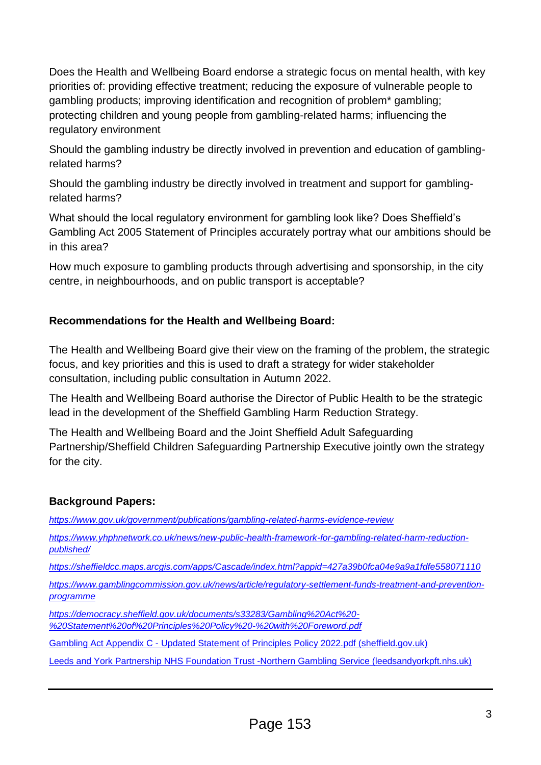Does the Health and Wellbeing Board endorse a strategic focus on mental health, with key priorities of: providing effective treatment; reducing the exposure of vulnerable people to gambling products; improving identification and recognition of problem\* gambling; protecting children and young people from gambling-related harms; influencing the regulatory environment

Should the gambling industry be directly involved in prevention and education of gamblingrelated harms?

Should the gambling industry be directly involved in treatment and support for gamblingrelated harms?

What should the local regulatory environment for gambling look like? Does Sheffield's Gambling Act 2005 Statement of Principles accurately portray what our ambitions should be in this area?

How much exposure to gambling products through advertising and sponsorship, in the city centre, in neighbourhoods, and on public transport is acceptable?

### **Recommendations for the Health and Wellbeing Board:**

The Health and Wellbeing Board give their view on the framing of the problem, the strategic focus, and key priorities and this is used to draft a strategy for wider stakeholder consultation, including public consultation in Autumn 2022.

The Health and Wellbeing Board authorise the Director of Public Health to be the strategic lead in the development of the Sheffield Gambling Harm Reduction Strategy.

The Health and Wellbeing Board and the Joint Sheffield Adult Safeguarding Partnership/Sheffield Children Safeguarding Partnership Executive jointly own the strategy for the city.

### **Background Papers:**

*<https://www.gov.uk/government/publications/gambling-related-harms-evidence-review>*

*[https://www.yhphnetwork.co.uk/news/new-public-health-framework-for-gambling-related-harm-reduction](https://www.yhphnetwork.co.uk/news/new-public-health-framework-for-gambling-related-harm-reduction-published/)[published/](https://www.yhphnetwork.co.uk/news/new-public-health-framework-for-gambling-related-harm-reduction-published/)*

*<https://sheffieldcc.maps.arcgis.com/apps/Cascade/index.html?appid=427a39b0fca04e9a9a1fdfe558071110>*

*[https://www.gamblingcommission.gov.uk/news/article/regulatory-settlement-funds-treatment-and-prevention](https://www.gamblingcommission.gov.uk/news/article/regulatory-settlement-funds-treatment-and-prevention-programme)[programme](https://www.gamblingcommission.gov.uk/news/article/regulatory-settlement-funds-treatment-and-prevention-programme)*

*[https://democracy.sheffield.gov.uk/documents/s33283/Gambling%20Act%20-](https://democracy.sheffield.gov.uk/documents/s33283/Gambling%20Act%20-%20Statement%20of%20Principles%20Policy%20-%20with%20Foreword.pdf) [%20Statement%20of%20Principles%20Policy%20-%20with%20Foreword.pdf](https://democracy.sheffield.gov.uk/documents/s33283/Gambling%20Act%20-%20Statement%20of%20Principles%20Policy%20-%20with%20Foreword.pdf)*

Gambling Act Appendix C - [Updated Statement of Principles Policy 2022.pdf \(sheffield.gov.uk\)](https://democracy.sheffield.gov.uk/documents/s48732/Gambling%20Act%20Appendix%20C%20-%20Updated%20Statement%20of%20Principles%20Policy%202022.pdf)

[Leeds and York Partnership NHS Foundation Trust -Northern Gambling Service \(leedsandyorkpft.nhs.uk\)](https://www.leedsandyorkpft.nhs.uk/our-services/northern-gambling-service/)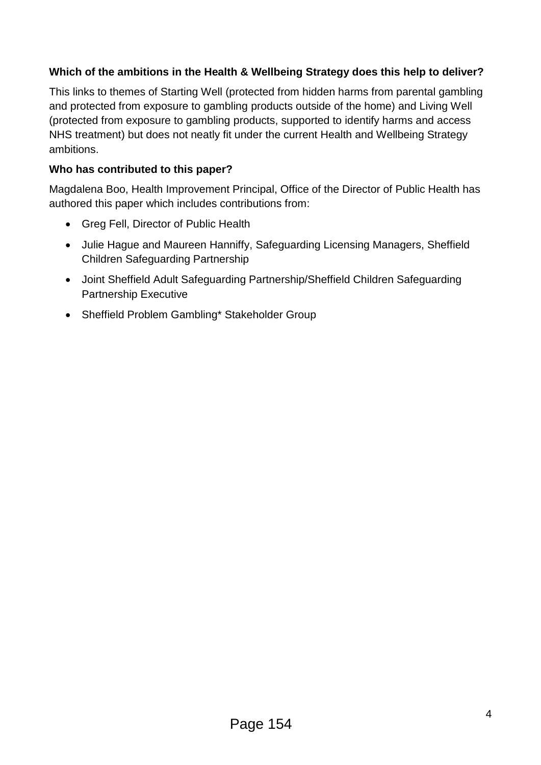### **Which of the ambitions in the Health & Wellbeing Strategy does this help to deliver?**

This links to themes of Starting Well (protected from hidden harms from parental gambling and protected from exposure to gambling products outside of the home) and Living Well (protected from exposure to gambling products, supported to identify harms and access NHS treatment) but does not neatly fit under the current Health and Wellbeing Strategy ambitions.

### **Who has contributed to this paper?**

Magdalena Boo, Health Improvement Principal, Office of the Director of Public Health has authored this paper which includes contributions from:

- Greg Fell, Director of Public Health
- Julie Hague and Maureen Hanniffy, Safeguarding Licensing Managers, Sheffield Children Safeguarding Partnership
- Joint Sheffield Adult Safeguarding Partnership/Sheffield Children Safeguarding Partnership Executive
- Sheffield Problem Gambling\* Stakeholder Group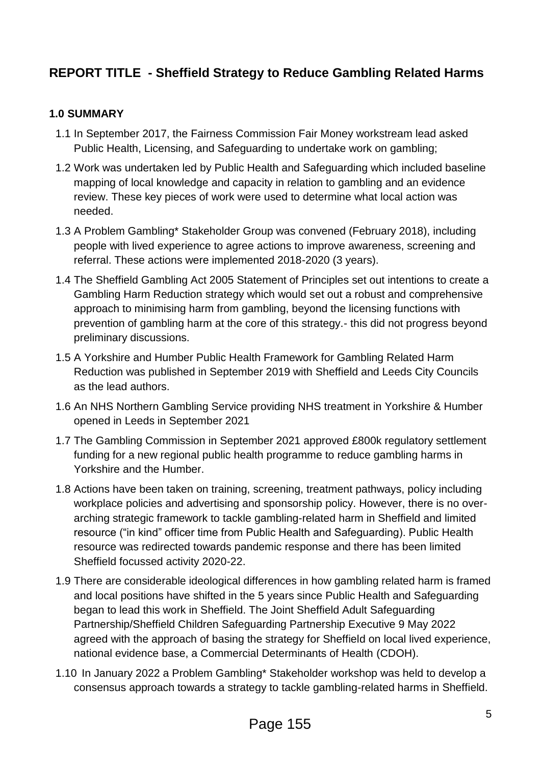## **REPORT TITLE - Sheffield Strategy to Reduce Gambling Related Harms**

### **1.0 SUMMARY**

- 1.1 In September 2017, the Fairness Commission Fair Money workstream lead asked Public Health, Licensing, and Safeguarding to undertake work on gambling;
- 1.2 Work was undertaken led by Public Health and Safeguarding which included baseline mapping of local knowledge and capacity in relation to gambling and an evidence review. These key pieces of work were used to determine what local action was needed.
- 1.3 A Problem Gambling\* Stakeholder Group was convened (February 2018), including people with lived experience to agree actions to improve awareness, screening and referral. These actions were implemented 2018-2020 (3 years).
- 1.4 The Sheffield Gambling Act 2005 Statement of Principles set out intentions to create a Gambling Harm Reduction strategy which would set out a robust and comprehensive approach to minimising harm from gambling, beyond the licensing functions with prevention of gambling harm at the core of this strategy.- this did not progress beyond preliminary discussions.
- 1.5 A Yorkshire and Humber Public Health Framework for Gambling Related Harm Reduction was published in September 2019 with Sheffield and Leeds City Councils as the lead authors.
- 1.6 An NHS Northern Gambling Service providing NHS treatment in Yorkshire & Humber opened in Leeds in September 2021
- 1.7 The Gambling Commission in September 2021 approved £800k regulatory settlement funding for a new regional public health programme to reduce gambling harms in Yorkshire and the Humber.
- 1.8 Actions have been taken on training, screening, treatment pathways, policy including workplace policies and advertising and sponsorship policy. However, there is no overarching strategic framework to tackle gambling-related harm in Sheffield and limited resource ("in kind" officer time from Public Health and Safeguarding). Public Health resource was redirected towards pandemic response and there has been limited Sheffield focussed activity 2020-22.
- 1.9 There are considerable ideological differences in how gambling related harm is framed and local positions have shifted in the 5 years since Public Health and Safeguarding began to lead this work in Sheffield. The Joint Sheffield Adult Safeguarding Partnership/Sheffield Children Safeguarding Partnership Executive 9 May 2022 agreed with the approach of basing the strategy for Sheffield on local lived experience, national evidence base, a Commercial Determinants of Health (CDOH).
- 1.10 In January 2022 a Problem Gambling\* Stakeholder workshop was held to develop a consensus approach towards a strategy to tackle gambling-related harms in Sheffield.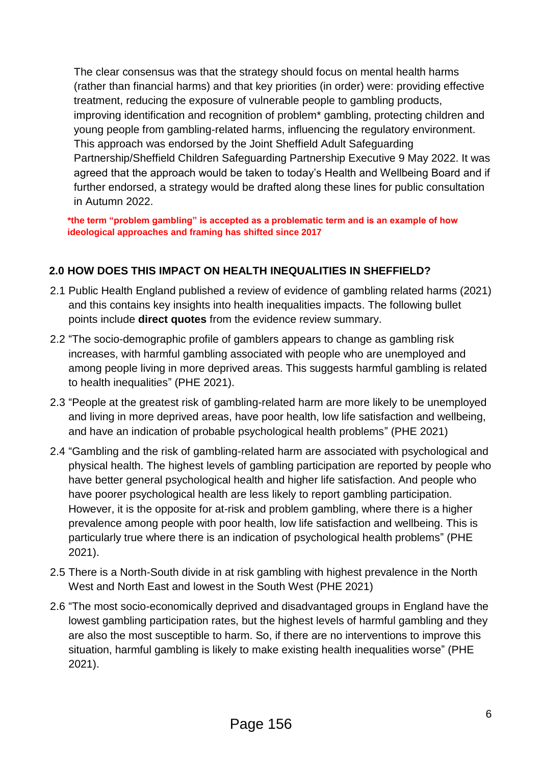The clear consensus was that the strategy should focus on mental health harms (rather than financial harms) and that key priorities (in order) were: providing effective treatment, reducing the exposure of vulnerable people to gambling products, improving identification and recognition of problem\* gambling, protecting children and young people from gambling-related harms, influencing the regulatory environment. This approach was endorsed by the Joint Sheffield Adult Safeguarding Partnership/Sheffield Children Safeguarding Partnership Executive 9 May 2022. It was agreed that the approach would be taken to today's Health and Wellbeing Board and if further endorsed, a strategy would be drafted along these lines for public consultation in Autumn 2022.

**\*the term "problem gambling" is accepted as a problematic term and is an example of how ideological approaches and framing has shifted since 2017**

### **2.0 HOW DOES THIS IMPACT ON HEALTH INEQUALITIES IN SHEFFIELD?**

- 2.1 Public Health England published a review of evidence of gambling related harms (2021) and this contains key insights into health inequalities impacts. The following bullet points include **direct quotes** from the evidence review summary.
- 2.2 "The socio-demographic profile of gamblers appears to change as gambling risk increases, with harmful gambling associated with people who are unemployed and among people living in more deprived areas. This suggests harmful gambling is related to health inequalities" (PHE 2021).
- 2.3 "People at the greatest risk of gambling-related harm are more likely to be unemployed and living in more deprived areas, have poor health, low life satisfaction and wellbeing, and have an indication of probable psychological health problems" (PHE 2021)
- 2.4 "Gambling and the risk of gambling-related harm are associated with psychological and physical health. The highest levels of gambling participation are reported by people who have better general psychological health and higher life satisfaction. And people who have poorer psychological health are less likely to report gambling participation. However, it is the opposite for at-risk and problem gambling, where there is a higher prevalence among people with poor health, low life satisfaction and wellbeing. This is particularly true where there is an indication of psychological health problems" (PHE 2021).
- 2.5 There is a North-South divide in at risk gambling with highest prevalence in the North West and North East and lowest in the South West (PHE 2021)
- 2.6 "The most socio-economically deprived and disadvantaged groups in England have the lowest gambling participation rates, but the highest levels of harmful gambling and they are also the most susceptible to harm. So, if there are no interventions to improve this situation, harmful gambling is likely to make existing health inequalities worse" (PHE 2021).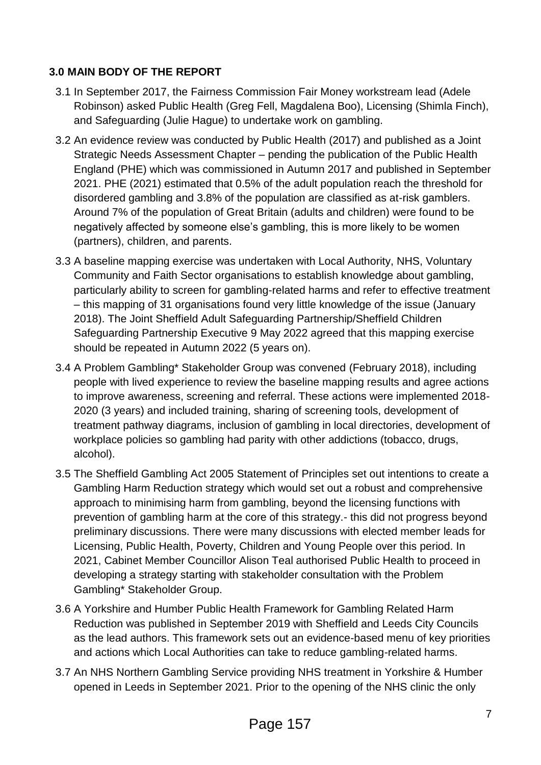### **3.0 MAIN BODY OF THE REPORT**

- 3.1 In September 2017, the Fairness Commission Fair Money workstream lead (Adele Robinson) asked Public Health (Greg Fell, Magdalena Boo), Licensing (Shimla Finch), and Safeguarding (Julie Hague) to undertake work on gambling.
- 3.2 An evidence review was conducted by Public Health (2017) and published as a Joint Strategic Needs Assessment Chapter – pending the publication of the Public Health England (PHE) which was commissioned in Autumn 2017 and published in September 2021. PHE (2021) estimated that 0.5% of the adult population reach the threshold for disordered gambling and 3.8% of the population are classified as at-risk gamblers. Around 7% of the population of Great Britain (adults and children) were found to be negatively affected by someone else's gambling, this is more likely to be women (partners), children, and parents.
- 3.3 A baseline mapping exercise was undertaken with Local Authority, NHS, Voluntary Community and Faith Sector organisations to establish knowledge about gambling, particularly ability to screen for gambling-related harms and refer to effective treatment – this mapping of 31 organisations found very little knowledge of the issue (January 2018). The Joint Sheffield Adult Safeguarding Partnership/Sheffield Children Safeguarding Partnership Executive 9 May 2022 agreed that this mapping exercise should be repeated in Autumn 2022 (5 years on).
- 3.4 A Problem Gambling\* Stakeholder Group was convened (February 2018), including people with lived experience to review the baseline mapping results and agree actions to improve awareness, screening and referral. These actions were implemented 2018- 2020 (3 years) and included training, sharing of screening tools, development of treatment pathway diagrams, inclusion of gambling in local directories, development of workplace policies so gambling had parity with other addictions (tobacco, drugs, alcohol).
- 3.5 The Sheffield Gambling Act 2005 Statement of Principles set out intentions to create a Gambling Harm Reduction strategy which would set out a robust and comprehensive approach to minimising harm from gambling, beyond the licensing functions with prevention of gambling harm at the core of this strategy.- this did not progress beyond preliminary discussions. There were many discussions with elected member leads for Licensing, Public Health, Poverty, Children and Young People over this period. In 2021, Cabinet Member Councillor Alison Teal authorised Public Health to proceed in developing a strategy starting with stakeholder consultation with the Problem Gambling\* Stakeholder Group.
- 3.6 A Yorkshire and Humber Public Health Framework for Gambling Related Harm Reduction was published in September 2019 with Sheffield and Leeds City Councils as the lead authors. This framework sets out an evidence-based menu of key priorities and actions which Local Authorities can take to reduce gambling-related harms.
- 3.7 An NHS Northern Gambling Service providing NHS treatment in Yorkshire & Humber opened in Leeds in September 2021. Prior to the opening of the NHS clinic the only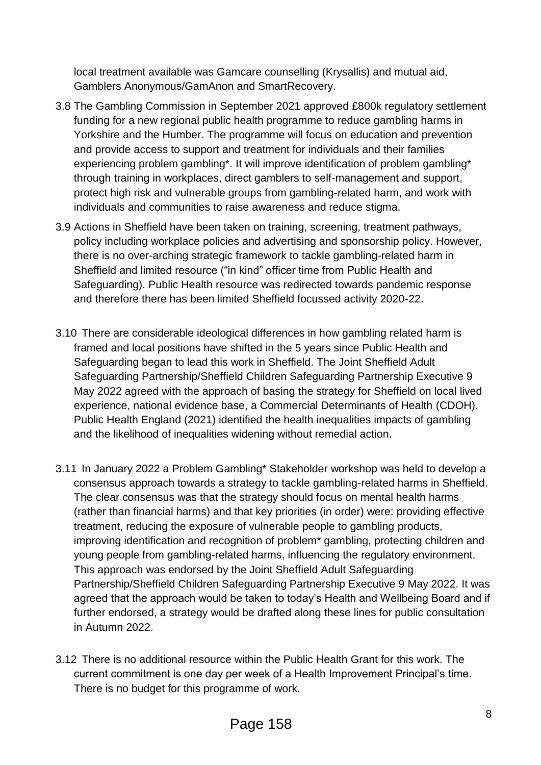local treatment available was Gamcare counselling (Krysallis) and mutual aid, Gamblers Anonymous/GamAnon and SmartRecovery.

- 3.8 The Gambling Commission in September 2021 approved £800k regulatory settlement funding for a new regional public health programme to reduce gambling harms in Yorkshire and the Humber. The programme will focus on education and prevention and provide access to support and treatment for individuals and their families experiencing problem gambling\*. It will improve identification of problem gambling\* through training in workplaces, direct gamblers to self-management and support, protect high risk and vulnerable groups from gambling-related harm, and work with individuals and communities to raise awareness and reduce stigma.
- 3.9 Actions in Sheffield have been taken on training, screening, treatment pathways, policy including workplace policies and advertising and sponsorship policy. However, there is no over-arching strategic framework to tackle gambling-related harm in Sheffield and limited resource ("in kind" officer time from Public Health and Safeguarding). Public Health resource was redirected towards pandemic response and therefore there has been limited Sheffield focussed activity 2020-22.
- 3.10 There are considerable ideological differences in how gambling related harm is framed and local positions have shifted in the 5 years since Public Health and Safeguarding began to lead this work in Sheffield. The Joint Sheffield Adult Safeguarding Partnership/Sheffield Children Safeguarding Partnership Executive 9 May 2022 agreed with the approach of basing the strategy for Sheffield on local lived experience, national evidence base, a Commercial Determinants of Health (CDOH). Public Health England (2021) identified the health inequalities impacts of gambling and the likelihood of inequalities widening without remedial action.
- 3.11 In January 2022 a Problem Gambling\* Stakeholder workshop was held to develop a consensus approach towards a strategy to tackle gambling-related harms in Sheffield. The clear consensus was that the strategy should focus on mental health harms (rather than financial harms) and that key priorities (in order) were: providing effective treatment, reducing the exposure of vulnerable people to gambling products, improving identification and recognition of problem\* gambling, protecting children and young people from gambling-related harms, influencing the regulatory environment. This approach was endorsed by the Joint Sheffield Adult Safeguarding Partnership/Sheffield Children Safeguarding Partnership Executive 9 May 2022. It was agreed that the approach would be taken to today's Health and Wellbeing Board and if further endorsed, a strategy would be drafted along these lines for public consultation in Autumn 2022.
- 3.12 There is no additional resource within the Public Health Grant for this work. The current commitment is one day per week of a Health Improvement Principal's time. There is no budget for this programme of work.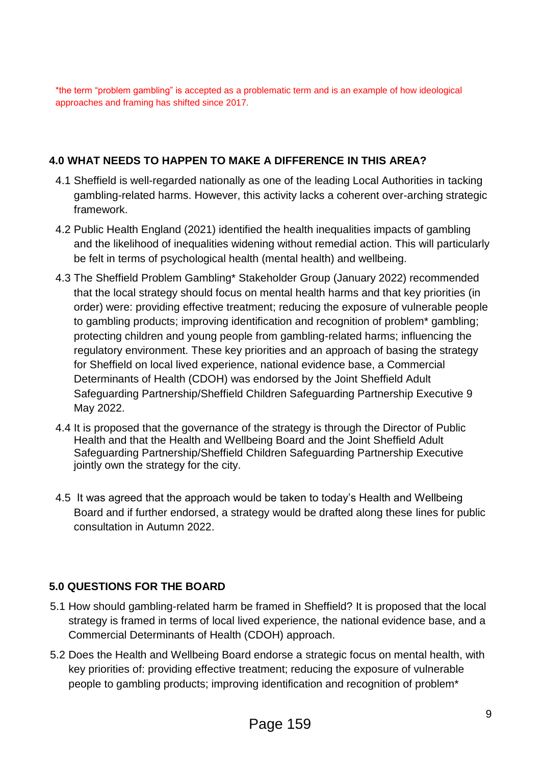\*the term "problem gambling" is accepted as a problematic term and is an example of how ideological approaches and framing has shifted since 2017.

### **4.0 WHAT NEEDS TO HAPPEN TO MAKE A DIFFERENCE IN THIS AREA?**

- 4.1 Sheffield is well-regarded nationally as one of the leading Local Authorities in tacking gambling-related harms. However, this activity lacks a coherent over-arching strategic framework.
- 4.2 Public Health England (2021) identified the health inequalities impacts of gambling and the likelihood of inequalities widening without remedial action. This will particularly be felt in terms of psychological health (mental health) and wellbeing.
- 4.3 The Sheffield Problem Gambling\* Stakeholder Group (January 2022) recommended that the local strategy should focus on mental health harms and that key priorities (in order) were: providing effective treatment; reducing the exposure of vulnerable people to gambling products; improving identification and recognition of problem\* gambling; protecting children and young people from gambling-related harms; influencing the regulatory environment. These key priorities and an approach of basing the strategy for Sheffield on local lived experience, national evidence base, a Commercial Determinants of Health (CDOH) was endorsed by the Joint Sheffield Adult Safeguarding Partnership/Sheffield Children Safeguarding Partnership Executive 9 May 2022.
- 4.4 It is proposed that the governance of the strategy is through the Director of Public Health and that the Health and Wellbeing Board and the Joint Sheffield Adult Safeguarding Partnership/Sheffield Children Safeguarding Partnership Executive jointly own the strategy for the city.
- 4.5 It was agreed that the approach would be taken to today's Health and Wellbeing Board and if further endorsed, a strategy would be drafted along these lines for public consultation in Autumn 2022.

### **5.0 QUESTIONS FOR THE BOARD**

- 5.1 How should gambling-related harm be framed in Sheffield? It is proposed that the local strategy is framed in terms of local lived experience, the national evidence base, and a Commercial Determinants of Health (CDOH) approach.
- 5.2 Does the Health and Wellbeing Board endorse a strategic focus on mental health, with key priorities of: providing effective treatment; reducing the exposure of vulnerable people to gambling products; improving identification and recognition of problem\*